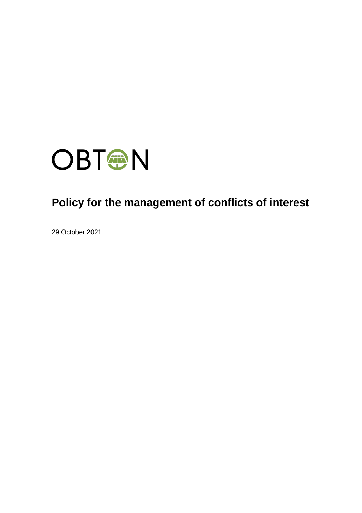

# **Policy for the management of conflicts of interest**

29 October 2021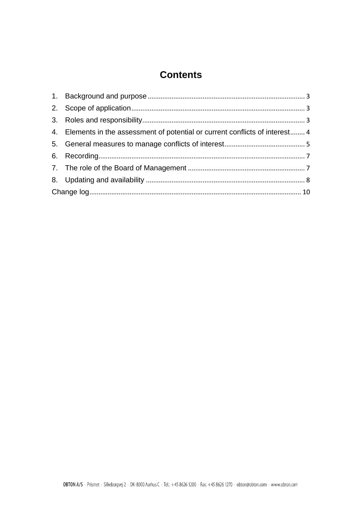## **Contents**

| 4. Elements in the assessment of potential or current conflicts of interest 4 |  |
|-------------------------------------------------------------------------------|--|
|                                                                               |  |
|                                                                               |  |
|                                                                               |  |
|                                                                               |  |
|                                                                               |  |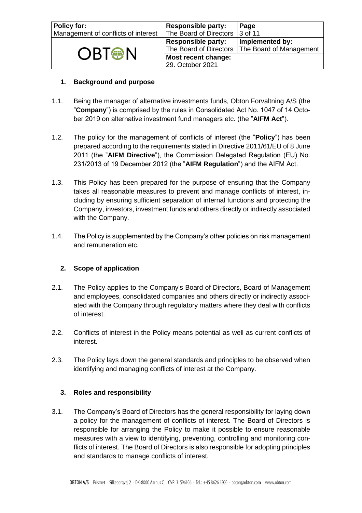| Policy for:<br>Management of conflicts of interest | <b>Responsible party:</b><br>The Board of Directors 3 of 11 | Page                                                                |
|----------------------------------------------------|-------------------------------------------------------------|---------------------------------------------------------------------|
| <b>OBT<sup>®</sup>N</b>                            | <b>Responsible party:</b>                                   | Implemented by:<br>The Board of Directors   The Board of Management |
|                                                    | Most recent change:<br>29. October 2021                     |                                                                     |

#### <span id="page-2-0"></span>**1. Background and purpose**

- 1.1. Being the manager of alternative investments funds, Obton Forvaltning A/S (the "**Company**") is comprised by the rules in Consolidated Act No. 1047 of 14 October 2019 on alternative investment fund managers etc. (the "**AIFM Act**").
- 1.2. The policy for the management of conflicts of interest (the "**Policy**") has been prepared according to the requirements stated in Directive 2011/61/EU of 8 June 2011 (the "**AIFM Directive**"), the Commission Delegated Regulation (EU) No. 231/2013 of 19 December 2012 (the "**AIFM Regulation**") and the AIFM Act.
- 1.3. This Policy has been prepared for the purpose of ensuring that the Company takes all reasonable measures to prevent and manage conflicts of interest, including by ensuring sufficient separation of internal functions and protecting the Company, investors, investment funds and others directly or indirectly associated with the Company.
- 1.4. The Policy is supplemented by the Company's other policies on risk management and remuneration etc.

#### <span id="page-2-1"></span>**2. Scope of application**

- 2.1. The Policy applies to the Company's Board of Directors, Board of Management and employees, consolidated companies and others directly or indirectly associated with the Company through regulatory matters where they deal with conflicts of interest.
- 2.2. Conflicts of interest in the Policy means potential as well as current conflicts of interest.
- <span id="page-2-2"></span>2.3. The Policy lays down the general standards and principles to be observed when identifying and managing conflicts of interest at the Company.

#### **3. Roles and responsibility**

3.1. The Company's Board of Directors has the general responsibility for laying down a policy for the management of conflicts of interest. The Board of Directors is responsible for arranging the Policy to make it possible to ensure reasonable measures with a view to identifying, preventing, controlling and monitoring conflicts of interest. The Board of Directors is also responsible for adopting principles and standards to manage conflicts of interest.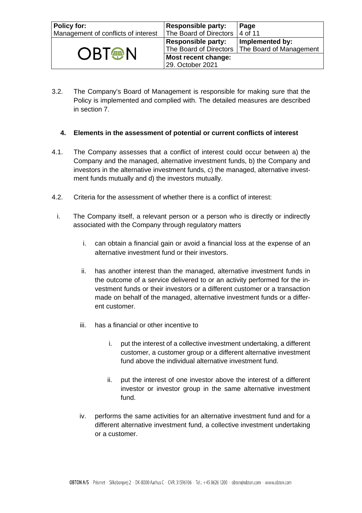| <b>Policy for:</b><br>Management of conflicts of interest | <b>Responsible party:</b><br>The Board of Directors | Page<br>4 of 11                                                     |
|-----------------------------------------------------------|-----------------------------------------------------|---------------------------------------------------------------------|
| <b>OBT<sup>®</sup>N</b>                                   | <b>Responsible party:</b>                           | Implemented by:<br>The Board of Directors   The Board of Management |
|                                                           | Most recent change:<br>29. October 2021             |                                                                     |

3.2. The Company's Board of Management is responsible for making sure that the Policy is implemented and complied with. The detailed measures are described in section 7.

#### <span id="page-3-0"></span>**4. Elements in the assessment of potential or current conflicts of interest**

- 4.1. The Company assesses that a conflict of interest could occur between a) the Company and the managed, alternative investment funds, b) the Company and investors in the alternative investment funds, c) the managed, alternative investment funds mutually and d) the investors mutually.
- 4.2. Criteria for the assessment of whether there is a conflict of interest:
- i. The Company itself, a relevant person or a person who is directly or indirectly associated with the Company through regulatory matters
	- i. can obtain a financial gain or avoid a financial loss at the expense of an alternative investment fund or their investors.
	- ii. has another interest than the managed, alternative investment funds in the outcome of a service delivered to or an activity performed for the investment funds or their investors or a different customer or a transaction made on behalf of the managed, alternative investment funds or a different customer.
	- iii. has a financial or other incentive to
		- i. put the interest of a collective investment undertaking, a different customer, a customer group or a different alternative investment fund above the individual alternative investment fund.
		- ii. put the interest of one investor above the interest of a different investor or investor group in the same alternative investment fund.
	- iv. performs the same activities for an alternative investment fund and for a different alternative investment fund, a collective investment undertaking or a customer.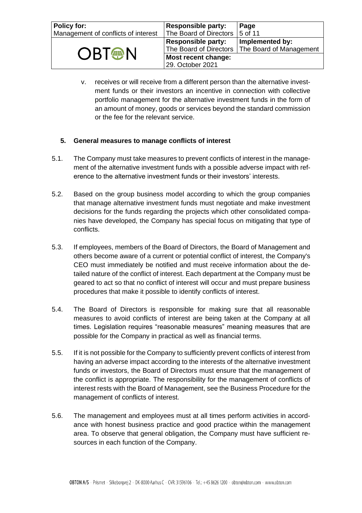| <b>Policy for:</b><br>Management of conflicts of interest | <b>Responsible party:</b><br>The Board of Directors | Page<br>$15$ of 11                         |
|-----------------------------------------------------------|-----------------------------------------------------|--------------------------------------------|
| <b>OBT<sup>A</sup>N</b>                                   | <b>Responsible party:</b><br>The Board of Directors | Implemented by:<br>The Board of Management |
|                                                           | Most recent change:<br>29. October 2021             |                                            |

v. receives or will receive from a different person than the alternative investment funds or their investors an incentive in connection with collective portfolio management for the alternative investment funds in the form of an amount of money, goods or services beyond the standard commission or the fee for the relevant service.

#### <span id="page-4-0"></span>**5. General measures to manage conflicts of interest**

- 5.1. The Company must take measures to prevent conflicts of interest in the management of the alternative investment funds with a possible adverse impact with reference to the alternative investment funds or their investors' interests.
- 5.2. Based on the group business model according to which the group companies that manage alternative investment funds must negotiate and make investment decisions for the funds regarding the projects which other consolidated companies have developed, the Company has special focus on mitigating that type of conflicts.
- 5.3. If employees, members of the Board of Directors, the Board of Management and others become aware of a current or potential conflict of interest, the Company's CEO must immediately be notified and must receive information about the detailed nature of the conflict of interest. Each department at the Company must be geared to act so that no conflict of interest will occur and must prepare business procedures that make it possible to identify conflicts of interest.
- 5.4. The Board of Directors is responsible for making sure that all reasonable measures to avoid conflicts of interest are being taken at the Company at all times. Legislation requires "reasonable measures" meaning measures that are possible for the Company in practical as well as financial terms.
- 5.5. If it is not possible for the Company to sufficiently prevent conflicts of interest from having an adverse impact according to the interests of the alternative investment funds or investors, the Board of Directors must ensure that the management of the conflict is appropriate. The responsibility for the management of conflicts of interest rests with the Board of Management, see the Business Procedure for the management of conflicts of interest.
- 5.6. The management and employees must at all times perform activities in accordance with honest business practice and good practice within the management area. To observe that general obligation, the Company must have sufficient resources in each function of the Company.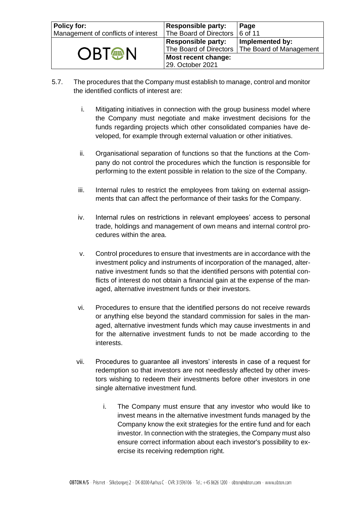| <b>Policy for:</b><br>Management of conflicts of interest | <b>Responsible party:</b><br>The Board of Directors | Page<br>6 of 11                                                     |
|-----------------------------------------------------------|-----------------------------------------------------|---------------------------------------------------------------------|
|                                                           | <b>Responsible party:</b>                           | Implemented by:<br>The Board of Directors   The Board of Management |
| <b>OBT<sup>®</sup>N</b>                                   | Most recent change:<br>29. October 2021             |                                                                     |

- 5.7. The procedures that the Company must establish to manage, control and monitor the identified conflicts of interest are:
	- i. Mitigating initiatives in connection with the group business model where the Company must negotiate and make investment decisions for the funds regarding projects which other consolidated companies have developed, for example through external valuation or other initiatives.
	- ii. Organisational separation of functions so that the functions at the Company do not control the procedures which the function is responsible for performing to the extent possible in relation to the size of the Company.
	- iii. Internal rules to restrict the employees from taking on external assignments that can affect the performance of their tasks for the Company.
	- iv. Internal rules on restrictions in relevant employees' access to personal trade, holdings and management of own means and internal control procedures within the area.
	- v. Control procedures to ensure that investments are in accordance with the investment policy and instruments of incorporation of the managed, alternative investment funds so that the identified persons with potential conflicts of interest do not obtain a financial gain at the expense of the managed, alternative investment funds or their investors.
	- vi. Procedures to ensure that the identified persons do not receive rewards or anything else beyond the standard commission for sales in the managed, alternative investment funds which may cause investments in and for the alternative investment funds to not be made according to the interests.
	- vii. Procedures to guarantee all investors' interests in case of a request for redemption so that investors are not needlessly affected by other investors wishing to redeem their investments before other investors in one single alternative investment fund.
		- i. The Company must ensure that any investor who would like to invest means in the alternative investment funds managed by the Company know the exit strategies for the entire fund and for each investor. In connection with the strategies, the Company must also ensure correct information about each investor's possibility to exercise its receiving redemption right.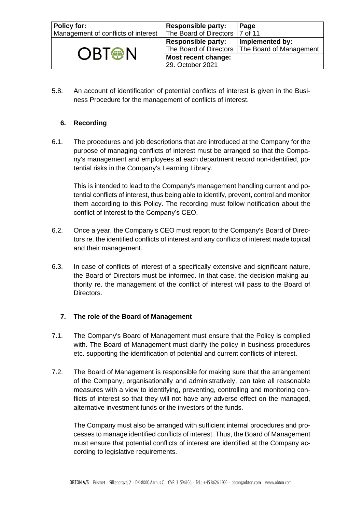| <b>Policy for:</b><br>Management of conflicts of interest | <b>Responsible party:</b><br>The Board of Directors   7 of 11 | Page                                                                |
|-----------------------------------------------------------|---------------------------------------------------------------|---------------------------------------------------------------------|
| <b>OBT<sup>®</sup>N</b>                                   | <b>Responsible party:</b>                                     | Implemented by:<br>The Board of Directors   The Board of Management |
|                                                           | Most recent change:<br>29. October 2021                       |                                                                     |

5.8. An account of identification of potential conflicts of interest is given in the Business Procedure for the management of conflicts of interest.

#### <span id="page-6-0"></span>**6. Recording**

6.1. The procedures and job descriptions that are introduced at the Company for the purpose of managing conflicts of interest must be arranged so that the Company's management and employees at each department record non-identified, potential risks in the Company's Learning Library.

This is intended to lead to the Company's management handling current and potential conflicts of interest, thus being able to identify, prevent, control and monitor them according to this Policy. The recording must follow notification about the conflict of interest to the Company's CEO.

- 6.2. Once a year, the Company's CEO must report to the Company's Board of Directors re. the identified conflicts of interest and any conflicts of interest made topical and their management.
- 6.3. In case of conflicts of interest of a specifically extensive and significant nature, the Board of Directors must be informed. In that case, the decision-making authority re. the management of the conflict of interest will pass to the Board of Directors.

#### <span id="page-6-1"></span>**7. The role of the Board of Management**

- 7.1. The Company's Board of Management must ensure that the Policy is complied with. The Board of Management must clarify the policy in business procedures etc. supporting the identification of potential and current conflicts of interest.
- 7.2. The Board of Management is responsible for making sure that the arrangement of the Company, organisationally and administratively, can take all reasonable measures with a view to identifying, preventing, controlling and monitoring conflicts of interest so that they will not have any adverse effect on the managed, alternative investment funds or the investors of the funds.

The Company must also be arranged with sufficient internal procedures and processes to manage identified conflicts of interest. Thus, the Board of Management must ensure that potential conflicts of interest are identified at the Company according to legislative requirements.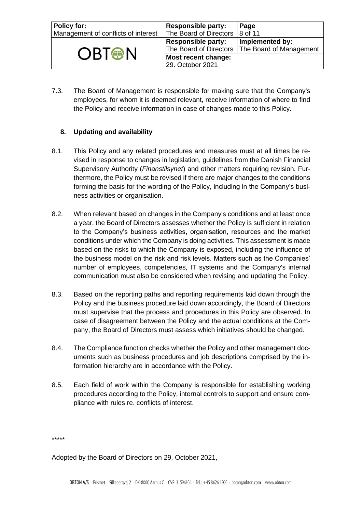| <b>Policy for:</b><br>Management of conflicts of interest | <b>Responsible party:</b><br>The Board of Directors | Page<br>$\vert 8$ of 11                                             |
|-----------------------------------------------------------|-----------------------------------------------------|---------------------------------------------------------------------|
| <b>OBT<sup>®</sup>N</b>                                   | <b>Responsible party:</b>                           | Implemented by:<br>The Board of Directors   The Board of Management |
|                                                           | Most recent change:<br>29. October 2021             |                                                                     |

7.3. The Board of Management is responsible for making sure that the Company's employees, for whom it is deemed relevant, receive information of where to find the Policy and receive information in case of changes made to this Policy.

#### <span id="page-7-0"></span>**8. Updating and availability**

- 8.1. This Policy and any related procedures and measures must at all times be revised in response to changes in legislation, guidelines from the Danish Financial Supervisory Authority (*Finanstilsynet*) and other matters requiring revision. Furthermore, the Policy must be revised if there are major changes to the conditions forming the basis for the wording of the Policy, including in the Company's business activities or organisation.
- 8.2. When relevant based on changes in the Company's conditions and at least once a year, the Board of Directors assesses whether the Policy is sufficient in relation to the Company's business activities, organisation, resources and the market conditions under which the Company is doing activities. This assessment is made based on the risks to which the Company is exposed, including the influence of the business model on the risk and risk levels. Matters such as the Companies' number of employees, competencies, IT systems and the Company's internal communication must also be considered when revising and updating the Policy.
- 8.3. Based on the reporting paths and reporting requirements laid down through the Policy and the business procedure laid down accordingly, the Board of Directors must supervise that the process and procedures in this Policy are observed. In case of disagreement between the Policy and the actual conditions at the Company, the Board of Directors must assess which initiatives should be changed.
- 8.4. The Compliance function checks whether the Policy and other management documents such as business procedures and job descriptions comprised by the information hierarchy are in accordance with the Policy.
- 8.5. Each field of work within the Company is responsible for establishing working procedures according to the Policy, internal controls to support and ensure compliance with rules re. conflicts of interest.

\*\*\*\*\*

Adopted by the Board of Directors on 29. October 2021,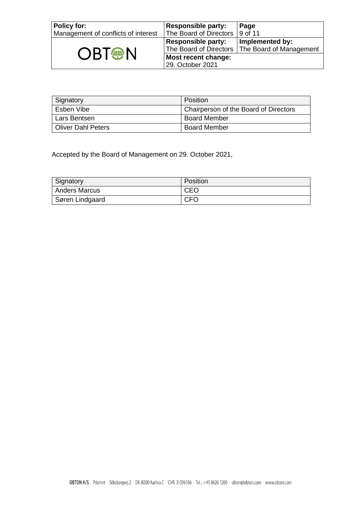| <b>Policy for:</b><br>Management of conflicts of interest | <b>Responsible party:</b><br>The Board of Directors | Page<br>$\vert$ 9 of 11                                             |
|-----------------------------------------------------------|-----------------------------------------------------|---------------------------------------------------------------------|
| <b>OBT<sup>®</sup>N</b>                                   | <b>Responsible party:</b>                           | Implemented by:<br>The Board of Directors   The Board of Management |
|                                                           | Most recent change:<br>29. October 2021             |                                                                     |

| Signatory          | Position                              |
|--------------------|---------------------------------------|
| Esben Vibe         | Chairperson of the Board of Directors |
| Lars Bentsen       | <b>Board Member</b>                   |
| Oliver Dahl Peters | <b>Board Member</b>                   |

Accepted by the Board of Management on 29. October 2021,

| Signatory       | Position   |
|-----------------|------------|
| Anders Marcus   | CEO        |
| Søren Lindgaard | <b>CFO</b> |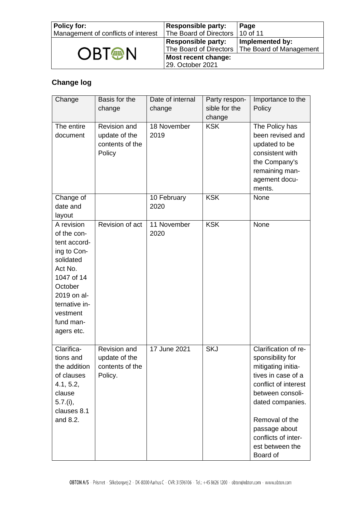| Policy for:<br>Management of conflicts of interest | <b>Responsible party:</b><br>The Board of Directors   10 of 11 | Page                                                                |
|----------------------------------------------------|----------------------------------------------------------------|---------------------------------------------------------------------|
|                                                    | <b>Responsible party:</b>                                      | Implemented by:<br>The Board of Directors   The Board of Management |
| <b>OBT<sup>®</sup>N</b>                            | Most recent change:<br>29. October 2021                        |                                                                     |

### <span id="page-9-0"></span>**Change log**

| Change                                                                                                                                                                           | Basis for the                                               | Date of internal    | Party respon-        | Importance to the                                                                                                                                                                                                                             |
|----------------------------------------------------------------------------------------------------------------------------------------------------------------------------------|-------------------------------------------------------------|---------------------|----------------------|-----------------------------------------------------------------------------------------------------------------------------------------------------------------------------------------------------------------------------------------------|
|                                                                                                                                                                                  | change                                                      | change              | sible for the        | Policy                                                                                                                                                                                                                                        |
|                                                                                                                                                                                  |                                                             |                     | change<br><b>KSK</b> |                                                                                                                                                                                                                                               |
| The entire<br>document                                                                                                                                                           | Revision and<br>update of the<br>contents of the<br>Policy  | 18 November<br>2019 |                      | The Policy has<br>been revised and<br>updated to be<br>consistent with<br>the Company's<br>remaining man-<br>agement docu-<br>ments.                                                                                                          |
| Change of<br>date and<br>layout                                                                                                                                                  |                                                             | 10 February<br>2020 | <b>KSK</b>           | None                                                                                                                                                                                                                                          |
| A revision<br>of the con-<br>tent accord-<br>ing to Con-<br>solidated<br>Act No.<br>1047 of 14<br>October<br>2019 on al-<br>ternative in-<br>vestment<br>fund man-<br>agers etc. | Revision of act                                             | 11 November<br>2020 | <b>KSK</b>           | None                                                                                                                                                                                                                                          |
| Clarifica-<br>tions and<br>the addition<br>of clauses<br>4.1, 5.2,<br>clause<br>$5.7.$ (i),<br>clauses 8.1<br>and 8.2.                                                           | Revision and<br>update of the<br>contents of the<br>Policy. | 17 June 2021        | <b>SKJ</b>           | Clarification of re-<br>sponsibility for<br>mitigating initia-<br>tives in case of a<br>conflict of interest<br>between consoli-<br>dated companies.<br>Removal of the<br>passage about<br>conflicts of inter-<br>est between the<br>Board of |